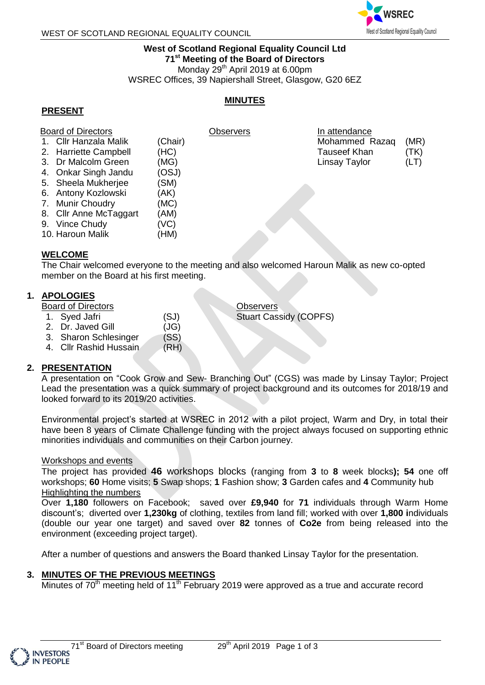

# **West of Scotland Regional Equality Council Ltd 71 st Meeting of the Board of Directors** Monday 29<sup>th</sup> April 2019 at 6.00pm

WSREC Offices, 39 Napiershall Street, Glasgow, G20 6EZ

# **MINUTES**

# **PRESENT**

| <b>Board of Directors</b> |                        |         | Observers | In attendance       |      |
|---------------------------|------------------------|---------|-----------|---------------------|------|
|                           | 1. Cllr Hanzala Malik  | (Chair) |           | Mohammed Razaq      | (MR) |
|                           | 2. Harriette Campbell  | (HC)    |           | <b>Tauseef Khan</b> | (TK) |
|                           | 3. Dr Malcolm Green    | (MG)    |           | Linsay Taylor       | (LT) |
|                           | 4. Onkar Singh Jandu   | (OSJ)   |           |                     |      |
|                           | 5. Sheela Mukherjee    | (SM)    |           |                     |      |
|                           | 6. Antony Kozlowski    | (AK)    |           |                     |      |
|                           | 7. Munir Choudry       | (MC)    |           |                     |      |
|                           | 8. Cllr Anne McTaggart | (AM)    |           |                     |      |
|                           | 9. Vince Chudy         | (VC)    |           |                     |      |
|                           | 10. Haroun Malik       | (HM)    |           |                     |      |
|                           |                        |         |           |                     |      |

## **WELCOME**

The Chair welcomed everyone to the meeting and also welcomed Haroun Malik as new co-opted member on the Board at his first meeting.

# **1. APOLOGIES**

Board of Directors

- 1. Syed Jafri (SJ)
- 2. Dr. Javed Gill (JG)
- 3. Sharon Schlesinger (SS)
- 4. Cllr Rashid Hussain (RH)

# **2. PRESENTATION**

A presentation on "Cook Grow and Sew- Branching Out" (CGS) was made by Linsay Taylor; Project Lead the presentation was a quick summary of project background and its outcomes for 2018/19 and looked forward to its 2019/20 activities.

**Observers** 

Stuart Cassidy (COPFS)

Environmental project's started at WSREC in 2012 with a pilot project, Warm and Dry, in total their have been 8 years of Climate Challenge funding with the project always focused on supporting ethnic minorities individuals and communities on their Carbon journey.

## Workshops and events

The project has provided **46** workshops blocks (ranging from **3** to **8** week blocks**); 54** one off workshops; **60** Home visits; **5** Swap shops; **1** Fashion show; **3** Garden cafes and **4** Community hub Highlighting the numbers

Over **1,180** followers on Facebook; saved over **£9,940** for **71** individuals through Warm Home discount's; diverted over **1,230kg** of clothing, textiles from land fill; worked with over **1,800 i**ndividuals (double our year one target) and saved over **82** tonnes of **Co2e** from being released into the environment (exceeding project target).

After a number of questions and answers the Board thanked Linsay Taylor for the presentation.

# **3. MINUTES OF THE PREVIOUS MEETINGS**

Minutes of 70<sup>th</sup> meeting held of 11<sup>th</sup> February 2019 were approved as a true and accurate record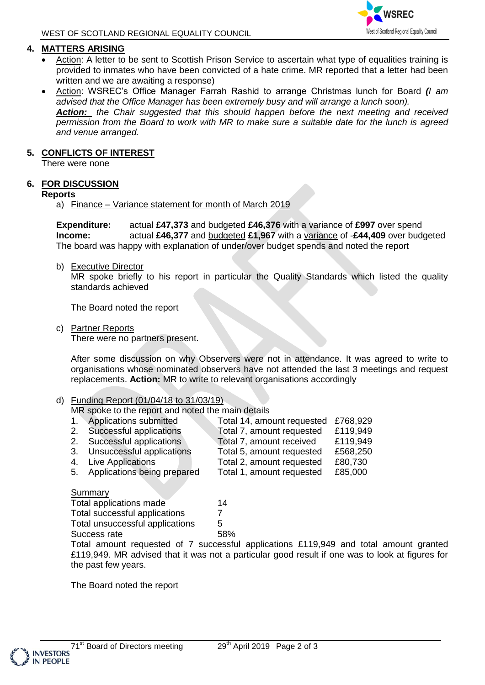# **4. MATTERS ARISING**

- Action: A letter to be sent to Scottish Prison Service to ascertain what type of equalities training is provided to inmates who have been convicted of a hate crime. MR reported that a letter had been written and we are awaiting a response)
- Action: WSREC's Office Manager Farrah Rashid to arrange Christmas lunch for Board *(I am advised that the Office Manager has been extremely busy and will arrange a lunch soon). Action: the Chair suggested that this should happen before the next meeting and received permission from the Board to work with MR to make sure a suitable date for the lunch is agreed and venue arranged.*

### **5. CONFLICTS OF INTEREST**

There were none

## **6. FOR DISCUSSION**

#### **Reports**

a) Finance – Variance statement for month of March 2019

**Expenditure:** actual **£47,373** and budgeted **£46,376** with a variance of **£997** over spend **Income:** actual **£46,377** and budgeted **£1,967** with a variance of -**£44,409** over budgeted The board was happy with explanation of under/over budget spends and noted the report

b) Executive Director

MR spoke briefly to his report in particular the Quality Standards which listed the quality standards achieved

The Board noted the report

c) Partner Reports

There were no partners present.

After some discussion on why Observers were not in attendance. It was agreed to write to organisations whose nominated observers have not attended the last 3 meetings and request replacements. **Action:** MR to write to relevant organisations accordingly

## d) Funding Report (01/04/18 to 31/03/19)

MR spoke to the report and noted the main details

| 1. Applications submitted      | Total 14, amount requested | £768,929 |
|--------------------------------|----------------------------|----------|
| 2. Successful applications     | Total 7, amount requested  | £119,949 |
| 2. Successful applications     | Total 7, amount received   | £119,949 |
| 3. Unsuccessful applications   | Total 5, amount requested  | £568,250 |
| 4. Live Applications           | Total 2, amount requested  | £80,730  |
| 5. Applications being prepared | Total 1, amount requested  | £85,000  |
|                                |                            |          |

#### Summary

| Total applications made         | 14  |
|---------------------------------|-----|
| Total successful applications   |     |
| Total unsuccessful applications | 5   |
| Success rate                    | 58% |

Total amount requested of 7 successful applications £119,949 and total amount granted £119,949. MR advised that it was not a particular good result if one was to look at figures for the past few years.

The Board noted the report